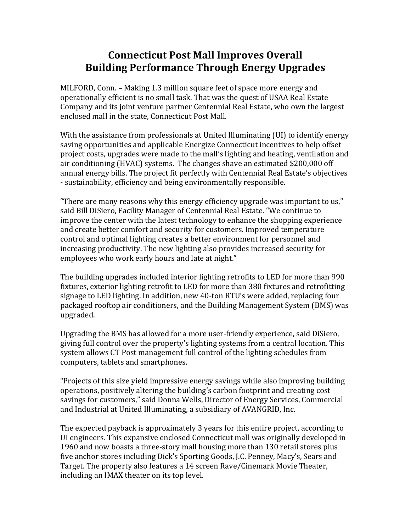# **Connecticut Post Mall Improves Overall Building Performance Through Energy Upgrades**

MILFORD, Conn. – Making 1.3 million square feet of space more energy and operationally efficient is no small task. That was the quest of USAA Real Estate Company and its joint venture partner Centennial Real Estate, who own the largest enclosed mall in the state, Connecticut Post Mall.

With the assistance from professionals at United Illuminating  $(UI)$  to identify energy saving opportunities and applicable Energize Connecticut incentives to help offset project costs, upgrades were made to the mall's lighting and heating, ventilation and air conditioning (HVAC) systems. The changes shave an estimated \$200,000 off annual energy bills. The project fit perfectly with Centennial Real Estate's objectives - sustainability, efficiency and being environmentally responsible.

"There are many reasons why this energy efficiency upgrade was important to us," said Bill DiSiero, Facility Manager of Centennial Real Estate. "We continue to improve the center with the latest technology to enhance the shopping experience and create better comfort and security for customers. Improved temperature control and optimal lighting creates a better environment for personnel and increasing productivity. The new lighting also provides increased security for employees who work early hours and late at night."

The building upgrades included interior lighting retrofits to LED for more than 990 fixtures, exterior lighting retrofit to LED for more than 380 fixtures and retrofitting signage to LED lighting. In addition, new 40-ton RTU's were added, replacing four packaged rooftop air conditioners, and the Building Management System (BMS) was upgraded. 

Upgrading the BMS has allowed for a more user-friendly experience, said DiSiero, giving full control over the property's lighting systems from a central location. This system allows CT Post management full control of the lighting schedules from computers, tablets and smartphones.

"Projects of this size yield impressive energy savings while also improving building operations, positively altering the building's carbon footprint and creating cost savings for customers," said Donna Wells, Director of Energy Services, Commercial and Industrial at United Illuminating, a subsidiary of AVANGRID, Inc.

The expected payback is approximately 3 years for this entire project, according to UI engineers. This expansive enclosed Connecticut mall was originally developed in 1960 and now boasts a three-story mall housing more than 130 retail stores plus five anchor stores including Dick's Sporting Goods, J.C. Penney, Macy's, Sears and Target. The property also features a 14 screen Rave/Cinemark Movie Theater, including an IMAX theater on its top level.